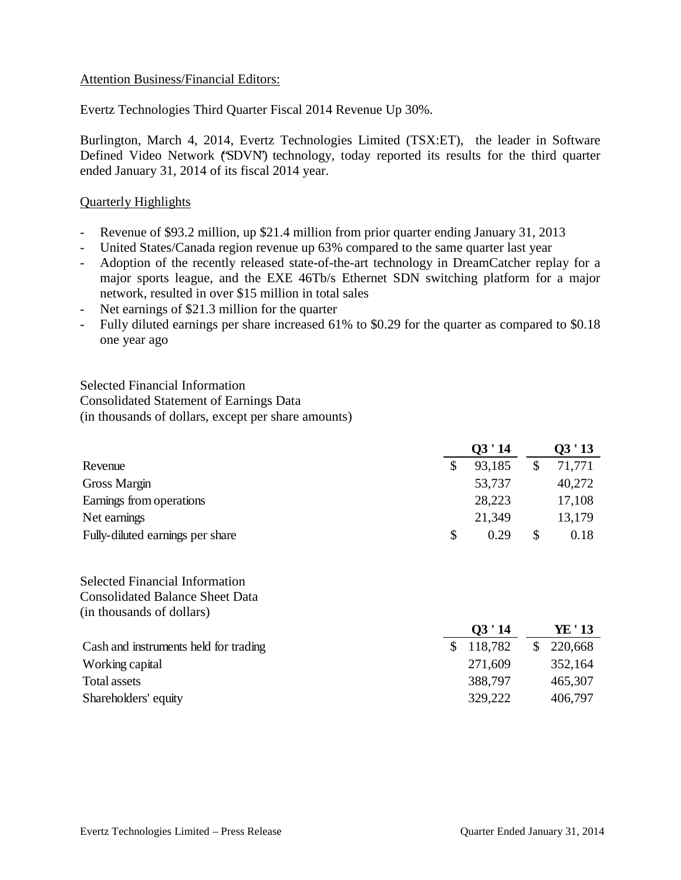## Attention Business/Financial Editors:

Evertz Technologies Third Quarter Fiscal 2014 Revenue Up 30%.

Burlington, March 4, 2014, Evertz Technologies Limited (TSX:ET), the leader in Software Defined Video Network ('SDVN') technology, today reported its results for the third quarter ended January 31, 2014 of its fiscal 2014 year.

## Quarterly Highlights

- Revenue of \$93.2 million, up \$21.4 million from prior quarter ending January 31, 2013
- United States/Canada region revenue up 63% compared to the same quarter last year
- Adoption of the recently released state-of-the-art technology in DreamCatcher replay for a major sports league, and the EXE 46Tb/s Ethernet SDN switching platform for a major network, resulted in over \$15 million in total sales
- Net earnings of \$21.3 million for the quarter
- Fully diluted earnings per share increased 61% to \$0.29 for the quarter as compared to \$0.18 one year ago

Selected Financial Information Consolidated Statement of Earnings Data (in thousands of dollars, except per share amounts)

|                                  | Q3'14      | Q3'13  |  |
|----------------------------------|------------|--------|--|
| Revenue                          | 93,185     | 71,771 |  |
| Gross Margin                     | 53,737     | 40,272 |  |
| Earnings from operations         | 28,223     | 17,108 |  |
| Net earnings                     | 21,349     | 13,179 |  |
| Fully-diluted earnings per share | \$<br>0.29 | 0.18   |  |

Selected Financial Information Consolidated Balance Sheet Data (in thousands of dollars)

|                                       | Q3'14     | YE ' 13 |
|---------------------------------------|-----------|---------|
| Cash and instruments held for trading | \$118,782 | 220,668 |
| Working capital                       | 271,609   | 352,164 |
| Total assets                          | 388,797   | 465,307 |
| Shareholders' equity                  | 329,222   | 406,797 |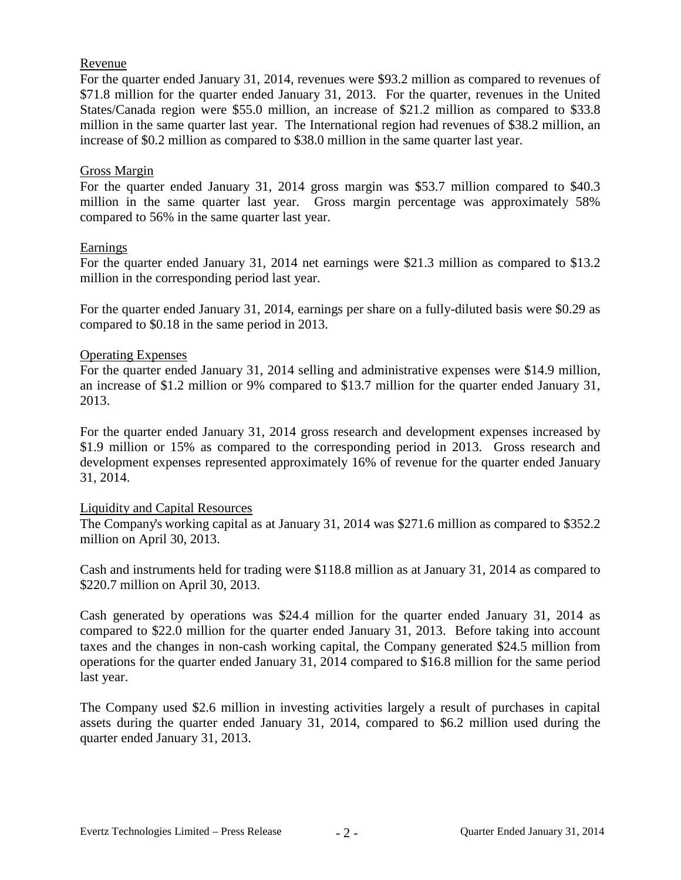## Revenue

For the quarter ended January 31, 2014, revenues were \$93.2 million as compared to revenues of \$71.8 million for the quarter ended January 31, 2013. For the quarter, revenues in the United States/Canada region were \$55.0 million, an increase of \$21.2 million as compared to \$33.8 million in the same quarter last year. The International region had revenues of \$38.2 million, an increase of \$0.2 million as compared to \$38.0 million in the same quarter last year.

## Gross Margin

For the quarter ended January 31, 2014 gross margin was \$53.7 million compared to \$40.3 million in the same quarter last year. Gross margin percentage was approximately 58% compared to 56% in the same quarter last year.

# Earnings

For the quarter ended January 31, 2014 net earnings were \$21.3 million as compared to \$13.2 million in the corresponding period last year.

For the quarter ended January 31, 2014, earnings per share on a fully-diluted basis were \$0.29 as compared to \$0.18 in the same period in 2013.

# Operating Expenses

For the quarter ended January 31, 2014 selling and administrative expenses were \$14.9 million, an increase of \$1.2 million or 9% compared to \$13.7 million for the quarter ended January 31, 2013.

For the quarter ended January 31, 2014 gross research and development expenses increased by \$1.9 million or 15% as compared to the corresponding period in 2013. Gross research and development expenses represented approximately 16% of revenue for the quarter ended January 31, 2014.

#### Liquidity and Capital Resources

The Company's working capital as at January 31, 2014 was \$271.6 million as compared to \$352.2 million on April 30, 2013.

Cash and instruments held for trading were \$118.8 million as at January 31, 2014 as compared to \$220.7 million on April 30, 2013.

Cash generated by operations was \$24.4 million for the quarter ended January 31, 2014 as compared to \$22.0 million for the quarter ended January 31, 2013. Before taking into account taxes and the changes in non-cash working capital, the Company generated \$24.5 million from operations for the quarter ended January 31, 2014 compared to \$16.8 million for the same period last year.

The Company used \$2.6 million in investing activities largely a result of purchases in capital assets during the quarter ended January 31, 2014, compared to \$6.2 million used during the quarter ended January 31, 2013.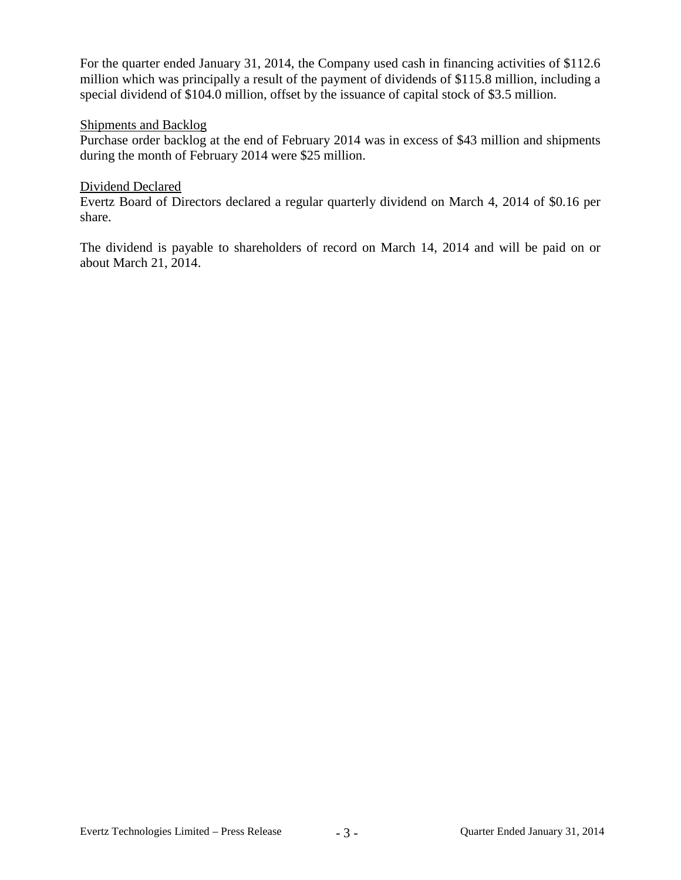For the quarter ended January 31, 2014, the Company used cash in financing activities of \$112.6 million which was principally a result of the payment of dividends of \$115.8 million, including a special dividend of \$104.0 million, offset by the issuance of capital stock of \$3.5 million.

# Shipments and Backlog

Purchase order backlog at the end of February 2014 was in excess of \$43 million and shipments during the month of February 2014 were \$25 million.

## Dividend Declared

Evertz Board of Directors declared a regular quarterly dividend on March 4, 2014 of \$0.16 per share.

The dividend is payable to shareholders of record on March 14, 2014 and will be paid on or about March 21, 2014.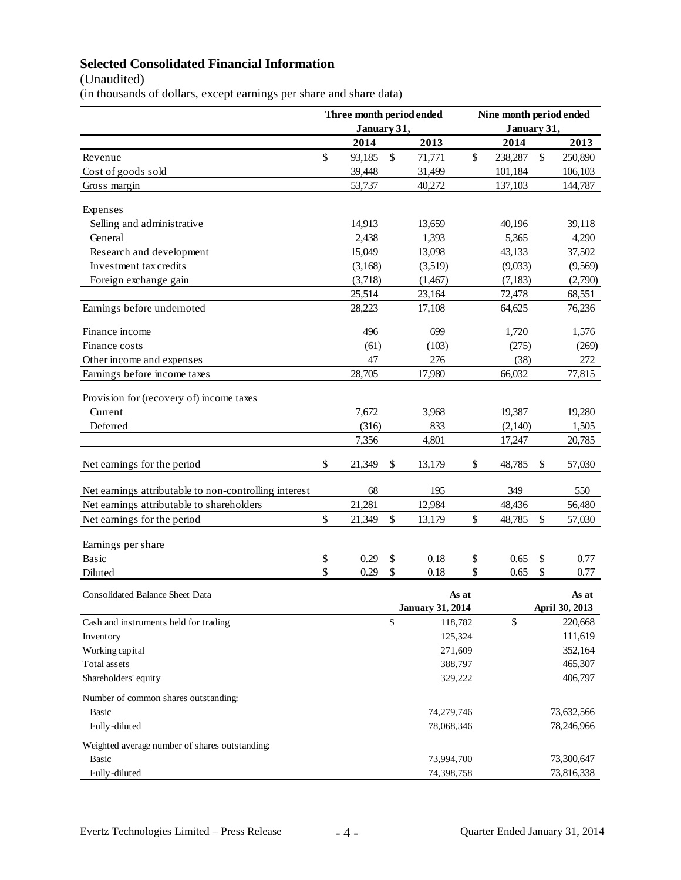# **Selected Consolidated Financial Information**

(Unaudited)

(in thousands of dollars, except earnings per share and share data)

|                                                       | Three month period ended<br>January 31, |         |                           | Nine month period ended<br>January 31, |         |          |    |                |
|-------------------------------------------------------|-----------------------------------------|---------|---------------------------|----------------------------------------|---------|----------|----|----------------|
|                                                       |                                         | 2014    |                           | 2013                                   |         | 2014     |    | 2013           |
| Revenue                                               | \$                                      | 93,185  | \$                        | 71,771                                 | \$      | 238,287  | \$ | 250,890        |
| Cost of goods sold                                    |                                         | 39,448  |                           | 31,499                                 |         | 101,184  |    | 106,103        |
| Gross margin                                          |                                         | 53,737  |                           | 40,272                                 |         | 137,103  |    | 144,787        |
|                                                       |                                         |         |                           |                                        |         |          |    |                |
| Expenses                                              |                                         |         |                           |                                        |         |          |    |                |
| Selling and administrative                            |                                         | 14,913  |                           | 13,659                                 |         | 40,196   |    | 39,118         |
| General                                               |                                         | 2,438   |                           | 1,393                                  |         | 5,365    |    | 4,290          |
| Research and development                              |                                         | 15,049  |                           | 13,098                                 |         | 43,133   |    | 37,502         |
| Investment tax credits                                |                                         | (3,168) |                           | (3,519)                                |         | (9,033)  |    | (9,569)        |
| Foreign exchange gain                                 |                                         | (3,718) |                           | (1, 467)                               |         | (7, 183) |    | (2,790)        |
|                                                       |                                         | 25,514  |                           | 23,164                                 |         | 72,478   |    | 68,551         |
| Earnings before undernoted                            |                                         | 28,223  |                           | 17,108                                 |         | 64,625   |    | 76,236         |
| Finance income                                        |                                         | 496     |                           | 699                                    |         | 1,720    |    | 1,576          |
| Finance costs                                         |                                         | (61)    |                           | (103)                                  |         | (275)    |    | (269)          |
| Other income and expenses                             |                                         | 47      |                           | 276                                    |         | (38)     |    | 272            |
| Earnings before income taxes                          |                                         | 28,705  |                           | 17,980                                 |         | 66,032   |    | 77,815         |
|                                                       |                                         |         |                           |                                        |         |          |    |                |
| Provision for (recovery of) income taxes              |                                         |         |                           |                                        |         |          |    |                |
| Current                                               |                                         | 7,672   |                           | 3,968                                  |         | 19,387   |    | 19,280         |
| Deferred                                              |                                         | (316)   |                           | 833                                    |         | (2,140)  |    | 1,505          |
|                                                       |                                         | 7,356   |                           | 4,801                                  |         | 17,247   |    | 20,785         |
| Net earnings for the period                           | \$                                      | 21,349  | \$                        | 13,179                                 | \$      | 48,785   | \$ | 57,030         |
| Net earnings attributable to non-controlling interest |                                         | 68      |                           | 195                                    |         | 349      |    | 550            |
| Net earnings attributable to shareholders             |                                         | 21,281  |                           | 12,984                                 |         | 48,436   |    | 56,480         |
| Net earnings for the period                           | \$                                      | 21,349  | $\boldsymbol{\mathsf{S}}$ | 13,179                                 | \$      | 48,785   | \$ | 57,030         |
|                                                       |                                         |         |                           |                                        |         |          |    |                |
| Earnings per share                                    |                                         |         |                           |                                        |         |          |    |                |
| Basic                                                 | \$                                      | 0.29    | \$                        | 0.18                                   | \$      | 0.65     | \$ | 0.77           |
| Diluted                                               | \$                                      | 0.29    | \$                        | 0.18                                   | \$      | 0.65     | \$ | 0.77           |
| Consolidated Balance Sheet Data                       |                                         |         |                           |                                        | As at   |          |    | As at          |
|                                                       |                                         |         |                           | <b>January 31, 2014</b>                |         |          |    | April 30, 2013 |
| Cash and instruments held for trading                 |                                         |         | \$                        | 118,782                                |         | \$       |    | 220,668        |
| Inventory                                             |                                         |         |                           | 125,324                                |         |          |    | 111,619        |
| Working capital                                       |                                         |         |                           | 271,609                                |         |          |    | 352,164        |
| Total assets                                          |                                         |         |                           | 388,797                                |         |          |    | 465,307        |
| Shareholders' equity                                  |                                         |         |                           |                                        | 329,222 |          |    | 406,797        |
| Number of common shares outstanding:                  |                                         |         |                           |                                        |         |          |    |                |
| <b>Basic</b>                                          |                                         |         |                           | 74,279,746                             |         |          |    | 73,632,566     |
| Fully-diluted                                         |                                         |         |                           | 78,068,346                             |         |          |    | 78,246,966     |
| Weighted average number of shares outstanding:        |                                         |         |                           |                                        |         |          |    |                |
| <b>Basic</b>                                          |                                         |         |                           | 73,994,700                             |         |          |    | 73,300,647     |
| Fully-diluted                                         |                                         |         |                           | 74,398,758                             |         |          |    | 73,816,338     |